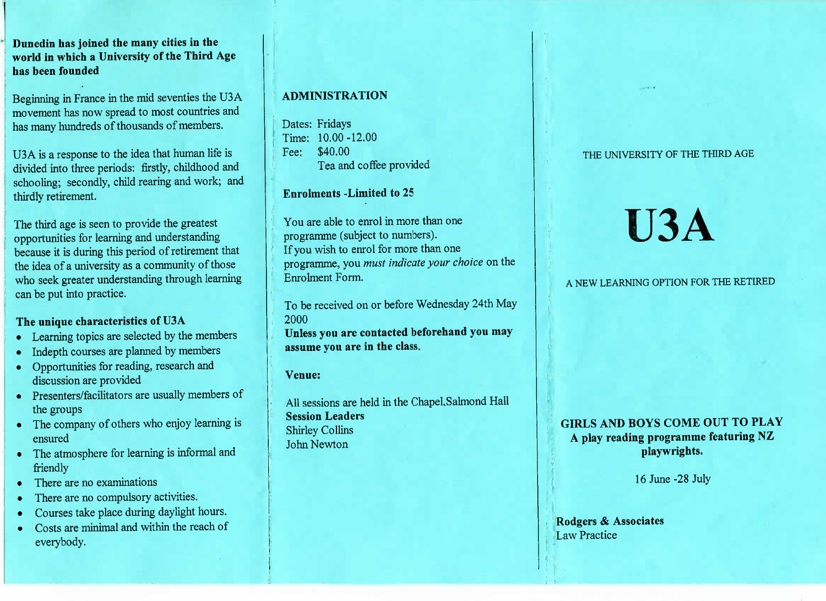### **Dunedin has joined the many cities in the world in which a University of the Third Agehas been founded**

Beginning in France in the mid seventies the USA movement has now spread to most countries andhas many hundreds of thousands of members.

USA is a response to the idea that human life islivided into three periods: firstly, childhood and chooling; secondly, child rearing and work; and thirdly retirement.

The third age is seen to provide the greatest opportunities for learning and understanding because it is during this period of retirement thatthe idea of a university as a community of those who seek greater understanding through learningcan be put into practice.

#### **The unique characteristics of U3A**

- Learning topics are selected by the members
- Indepth courses are planned by members
- Opportunities for reading, research anddiscussion are provided
- Presenters/facilitators are usually members of the groups
- The company of others who enjoy learning isensured
- The atmosphere for learning is informal andfriendly
- There are no examinations
- There are no compulsory activities.
- Courses take place during daylight hours.
- Costs are minimal and within the reach of everybody.

## **ADMINISTRATION**

Dates: Fridays $Time: 10.00 - 12.00$ Fee: \$40.00ea and coffee provided

#### **Enrolments -Limited to** 25

You are able to enrol in more than oneprogramme (subject to numbers).f you wish to enrol for more than one programme, you *must indicate your choice* on theEnrolment Form.

To be received on or before Wednesday 24th May2000 **Unless you are contacted beforehand you mayassume you are in the class.**

**Venue:**

All sessions are held in the Chapel,Salmond Hall**Session Leaders**Shirley CollinsJohn Newton

#### THE UNIVERSITY OF THE THIRD AGE

# U3A

# A NEW LEARNING OPTION FOR THE RETIRED

**GIRLS AND BOYS COME OUT TO PLAYA play reading programme featuring NZplaywrights.**

16 June -28 July

**Rodgers & Associates**Law Practice